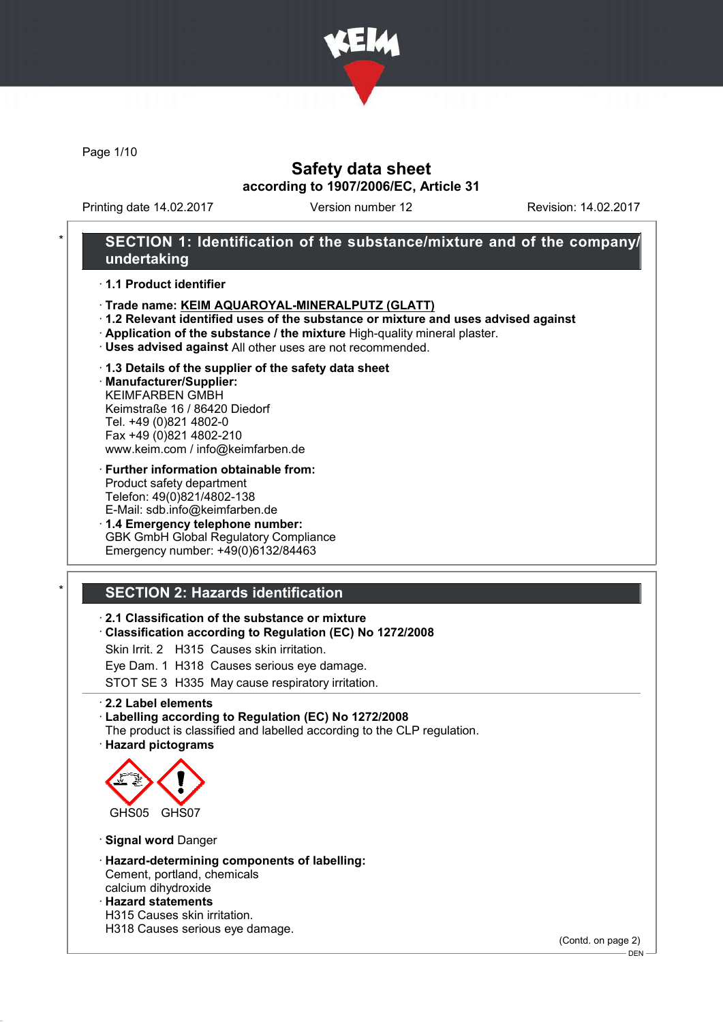

Page 1/10

## Safety data sheet according to 1907/2006/EC, Article 31

Printing date 14.02.2017 Version number 12 Revision: 14.02.2017

## SECTION 1: Identification of the substance/mixture and of the company/ undertaking

· 1.1 Product identifier

- · Trade name: KEIM AQUAROYAL-MINERALPUTZ (GLATT)
- · 1.2 Relevant identified uses of the substance or mixture and uses advised against
- · Application of the substance / the mixture High-quality mineral plaster.
- · Uses advised against All other uses are not recommended.
- · 1.3 Details of the supplier of the safety data sheet

· Manufacturer/Supplier: KEIMFARBEN GMBH Keimstraße 16 / 86420 Diedorf Tel. +49 (0)821 4802-0 Fax +49 (0)821 4802-210 www.keim.com / info@keimfarben.de

· Further information obtainable from: Product safety department Telefon: 49(0)821/4802-138 E-Mail: sdb.info@keimfarben.de

· 1.4 Emergency telephone number: GBK GmbH Global Regulatory Compliance Emergency number: +49(0)6132/84463

# **SECTION 2: Hazards identification**

## · 2.1 Classification of the substance or mixture

· Classification according to Regulation (EC) No 1272/2008

Skin Irrit. 2 H315 Causes skin irritation.

Eye Dam. 1 H318 Causes serious eye damage.

STOT SE 3 H335 May cause respiratory irritation.

· 2.2 Label elements

### · Labelling according to Regulation (EC) No 1272/2008

The product is classified and labelled according to the CLP regulation. · Hazard pictograms



· Signal word Danger

- · Hazard-determining components of labelling: Cement, portland, chemicals calcium dihydroxide
- · Hazard statements
- H315 Causes skin irritation.
- H318 Causes serious eye damage.

(Contd. on page 2)

<sup>-</sup> DEN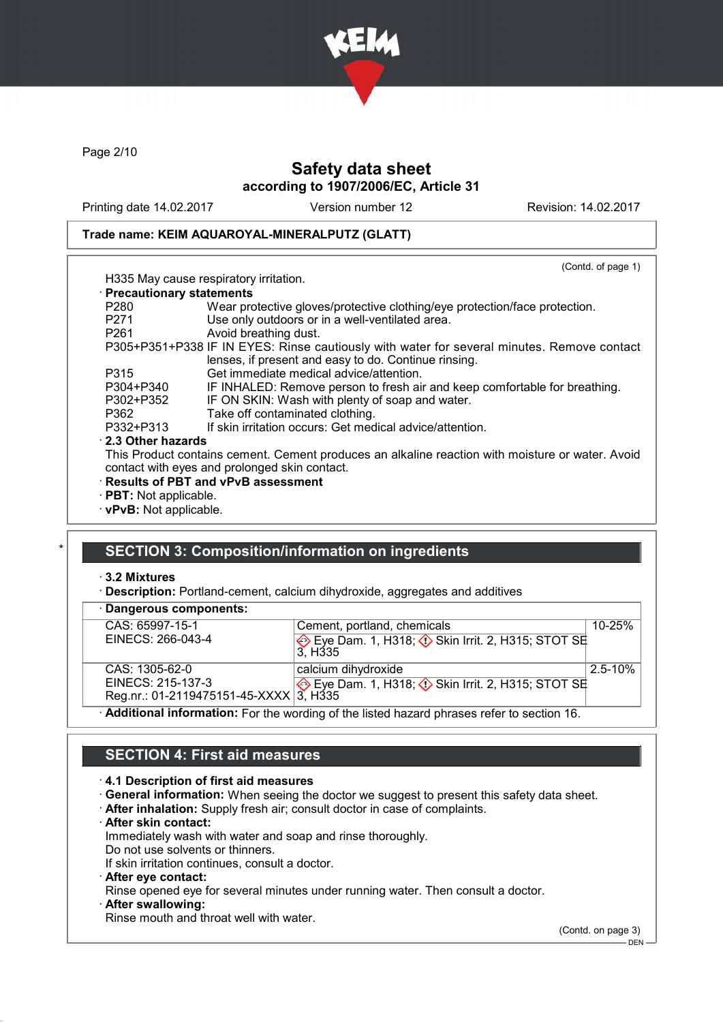

Page 2/10

# Safety data sheet according to 1907/2006/EC, Article 31

Printing date 14.02.2017 Version number 12 Revision: 14.02.2017

## Trade name: KEIM AQUAROYAL-MINERALPUTZ (GLATT)

|                              | H335 May cause respiratory irritation.                                                           | (Contd. of page 1) |
|------------------------------|--------------------------------------------------------------------------------------------------|--------------------|
|                              |                                                                                                  |                    |
| · Precautionary statements   |                                                                                                  |                    |
| P280                         | Wear protective gloves/protective clothing/eye protection/face protection.                       |                    |
| P271                         | Use only outdoors or in a well-ventilated area.                                                  |                    |
| P261                         | Avoid breathing dust.                                                                            |                    |
|                              | P305+P351+P338 IF IN EYES: Rinse cautiously with water for several minutes. Remove contact       |                    |
|                              | lenses, if present and easy to do. Continue rinsing.                                             |                    |
| P315                         | Get immediate medical advice/attention.                                                          |                    |
| P304+P340                    | IF INHALED: Remove person to fresh air and keep comfortable for breathing.                       |                    |
| P302+P352                    | IF ON SKIN: Wash with plenty of soap and water.                                                  |                    |
| P362                         | Take off contaminated clothing.                                                                  |                    |
| P332+P313                    | If skin irritation occurs: Get medical advice/attention.                                         |                    |
| $\cdot$ 2.3 Other hazards    |                                                                                                  |                    |
|                              | This Product contains cement. Cement produces an alkaline reaction with moisture or water. Avoid |                    |
|                              | contact with eyes and prolonged skin contact.                                                    |                    |
|                              | · Results of PBT and vPvB assessment                                                             |                    |
| $\cdot$ PBT: Not applicable. |                                                                                                  |                    |
| · vPvB: Not applicable.      |                                                                                                  |                    |

## SECTION 3: Composition/information on ingredients

## · 3.2 Mixtures

· Description: Portland-cement, calcium dihydroxide, aggregates and additives

| · Dangerous components:                |                                                                                             |              |
|----------------------------------------|---------------------------------------------------------------------------------------------|--------------|
| CAS: 65997-15-1                        | Cement, portland, chemicals                                                                 | $10 - 25%$   |
| EINECS: 266-043-4                      | Eye Dam. 1, H318; $\Diamond$ Skin Irrit. 2, H315; STOT SE<br>3. H <sub>335</sub>            |              |
| CAS: 1305-62-0                         | calcium dihydroxide                                                                         | $2.5 - 10\%$ |
| EINECS: 215-137-3                      | Eye Dam. 1, H318; $\Diamond$ Skin Irrit. 2, H315; STOT SE                                   |              |
| Reg.nr.: 01-2119475151-45-XXXX 3, H335 |                                                                                             |              |
|                                        | · Additional information: For the wording of the listed hazard phrases refer to section 16. |              |

SECTION 4: First aid measures

### · 4.1 Description of first aid measures

- · General information: When seeing the doctor we suggest to present this safety data sheet.
- · After inhalation: Supply fresh air; consult doctor in case of complaints.
- · After skin contact:

Immediately wash with water and soap and rinse thoroughly.

Do not use solvents or thinners. If skin irritation continues, consult a doctor.

· After eye contact:

Rinse opened eye for several minutes under running water. Then consult a doctor.

After swallowing:

Rinse mouth and throat well with water.

(Contd. on page 3)

DEN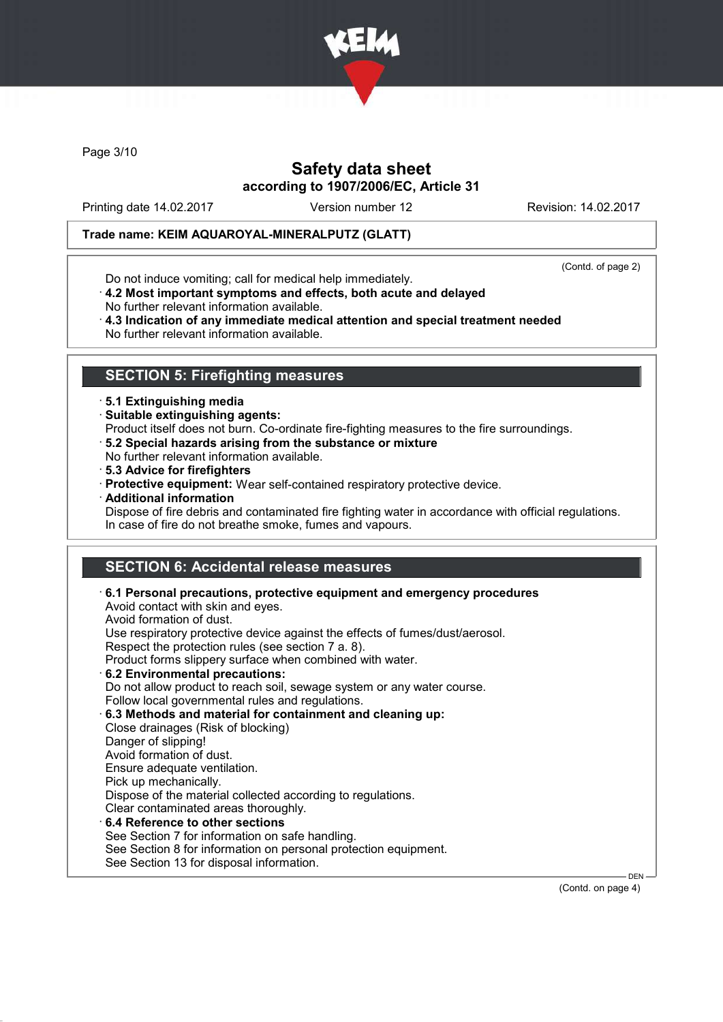

Page 3/10

# Safety data sheet according to 1907/2006/EC, Article 31

Printing date 14.02.2017 Version number 12 Revision: 14.02.2017

## Trade name: KEIM AQUAROYAL-MINERALPUTZ (GLATT)

(Contd. of page 2)

- Do not induce vomiting; call for medical help immediately.
- · 4.2 Most important symptoms and effects, both acute and delayed No further relevant information available.
- · 4.3 Indication of any immediate medical attention and special treatment needed No further relevant information available.

## SECTION 5: Firefighting measures

- · 5.1 Extinguishing media
- · Suitable extinguishing agents:
- Product itself does not burn. Co-ordinate fire-fighting measures to the fire surroundings.
- · 5.2 Special hazards arising from the substance or mixture
- No further relevant information available.
- · 5.3 Advice for firefighters
- · Protective equipment: Wear self-contained respiratory protective device.
- · Additional information
- Dispose of fire debris and contaminated fire fighting water in accordance with official regulations. In case of fire do not breathe smoke, fumes and vapours.

# SECTION 6: Accidental release measures

| $\cdot$ 6.1 Personal precautions, protective equipment and emergency procedures<br>Avoid contact with skin and eyes.<br>Avoid formation of dust. |
|--------------------------------------------------------------------------------------------------------------------------------------------------|
| Use respiratory protective device against the effects of fumes/dust/aerosol.                                                                     |
| Respect the protection rules (see section 7 a. 8).                                                                                               |
| Product forms slippery surface when combined with water.                                                                                         |
| 6.2 Environmental precautions:                                                                                                                   |
| Do not allow product to reach soil, sewage system or any water course.                                                                           |
| Follow local governmental rules and regulations.                                                                                                 |
| 6.3 Methods and material for containment and cleaning up:                                                                                        |
| Close drainages (Risk of blocking)                                                                                                               |
| Danger of slipping!                                                                                                                              |
| Avoid formation of dust.                                                                                                                         |
| Ensure adequate ventilation.                                                                                                                     |
| Pick up mechanically.                                                                                                                            |
| Dispose of the material collected according to regulations.                                                                                      |
| Clear contaminated areas thoroughly.                                                                                                             |
| 6.4 Reference to other sections                                                                                                                  |
| See Section 7 for information on safe handling.                                                                                                  |
| See Section 8 for information on personal protection equipment.                                                                                  |
| See Section 13 for disposal information.                                                                                                         |

(Contd. on page 4)

DEN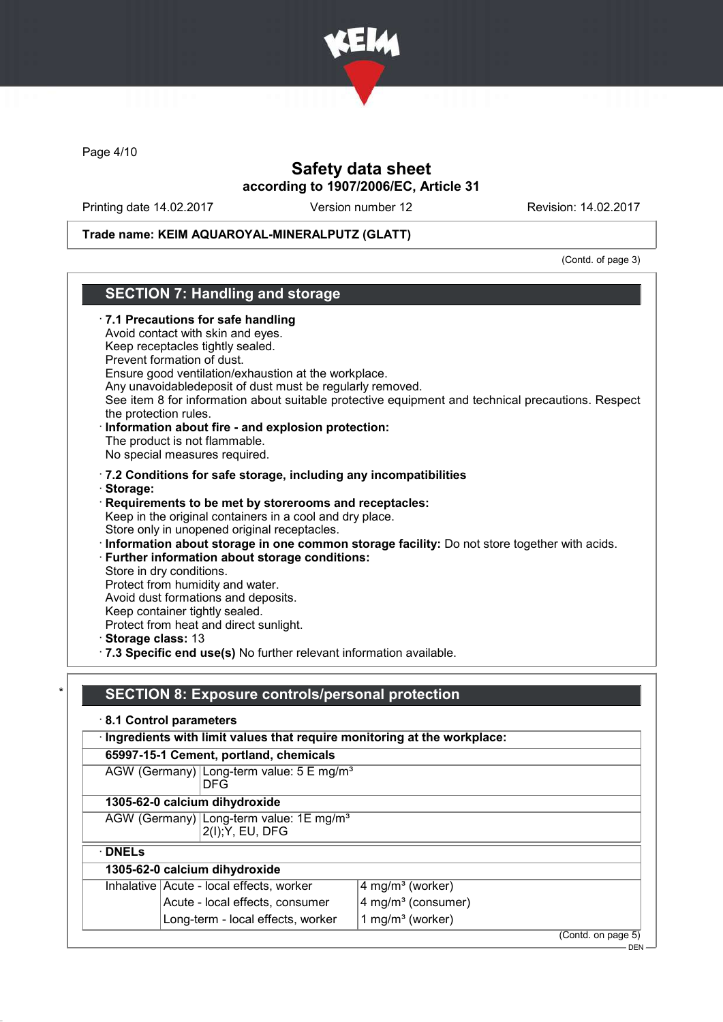

Page 4/10

## Safety data sheet according to 1907/2006/EC, Article 31

Printing date 14.02.2017 Version number 12 Revision: 14.02.2017

## Trade name: KEIM AQUAROYAL-MINERALPUTZ (GLATT)

(Contd. of page 3)

## SECTION 7: Handling and storage · 7.1 Precautions for safe handling Avoid contact with skin and eyes. Keep receptacles tightly sealed. Prevent formation of dust. Ensure good ventilation/exhaustion at the workplace. Any unavoidabledeposit of dust must be regularly removed. See item 8 for information about suitable protective equipment and technical precautions. Respect the protection rules. · Information about fire - and explosion protection: The product is not flammable. No special measures required. · 7.2 Conditions for safe storage, including any incompatibilities · Storage: · Requirements to be met by storerooms and receptacles: Keep in the original containers in a cool and dry place. Store only in unopened original receptacles. · Information about storage in one common storage facility: Do not store together with acids. · Further information about storage conditions: Store in dry conditions. Protect from humidity and water. Avoid dust formations and deposits. Keep container tightly sealed. Protect from heat and direct sunlight. · Storage class: 13 · 7.3 Specific end use(s) No further relevant information available. SECTION 8: Exposure controls/personal protection · 8.1 Control parameters · Ingredients with limit values that require monitoring at the workplace: 65997-15-1 Cement, portland, chemicals

|               | AGW (Germany) Long-term value: $5 \text{ E mg/m}^3$<br><b>DFG</b>       |                                |                    |
|---------------|-------------------------------------------------------------------------|--------------------------------|--------------------|
|               | 1305-62-0 calcium dihydroxide                                           |                                |                    |
|               | AGW (Germany) Long-term value: 1E mg/m <sup>3</sup><br>2(I); Y, EU, DFG |                                |                    |
| $\cdot$ DNELs |                                                                         |                                |                    |
|               | 1305-62-0 calcium dihydroxide                                           |                                |                    |
|               | Inhalative Acute - local effects, worker                                | 4 mg/m <sup>3</sup> (worker)   |                    |
|               | Acute - local effects, consumer                                         | 4 mg/m <sup>3</sup> (consumer) |                    |
|               | Long-term - local effects, worker                                       | 1 mg/m <sup>3</sup> (worker)   |                    |
|               |                                                                         |                                | (Contd. on page 5) |

DEN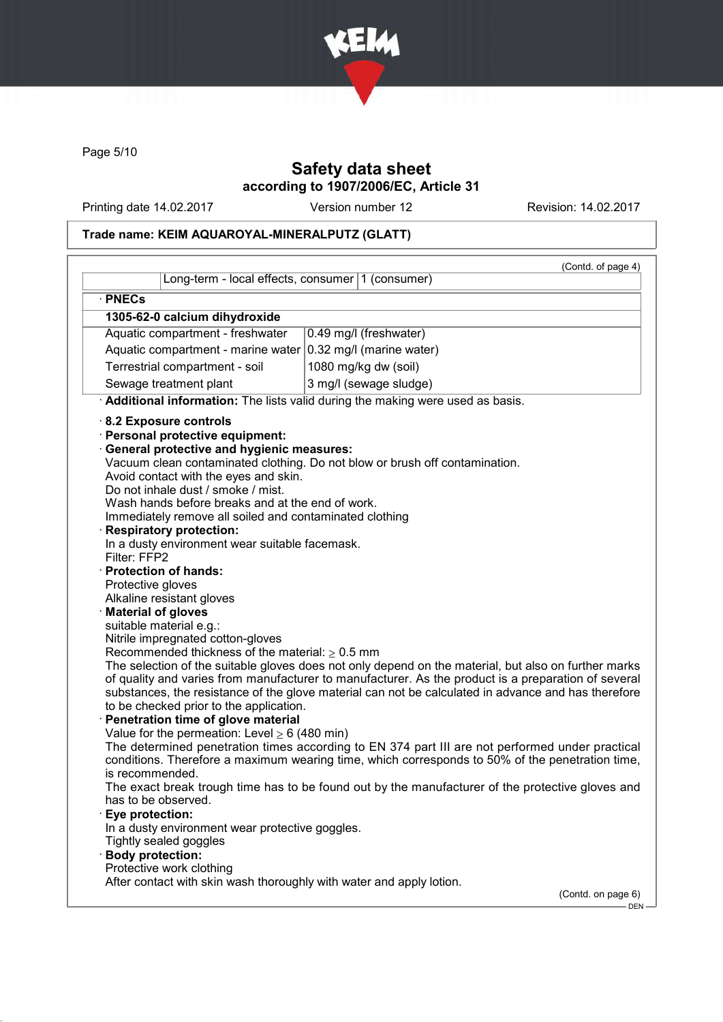

Page 5/10

# Safety data sheet according to 1907/2006/EC, Article 31

Printing date 14.02.2017 Version number 12 Revision: 14.02.2017

# Trade name: KEIM AQUAROYAL-MINERALPUTZ (GLATT)

|                                                                                                                                                                                                                                                                                                                                                                                                                                                                                                                                                                                                                                                                                                                                                                                                                                                                                                                                                                                                                                                             |                                                                                                                                                                                                                                                                                                                                                                                                                                                                                                                                                                                                                                                                                                             | (Contd. of page 4) |
|-------------------------------------------------------------------------------------------------------------------------------------------------------------------------------------------------------------------------------------------------------------------------------------------------------------------------------------------------------------------------------------------------------------------------------------------------------------------------------------------------------------------------------------------------------------------------------------------------------------------------------------------------------------------------------------------------------------------------------------------------------------------------------------------------------------------------------------------------------------------------------------------------------------------------------------------------------------------------------------------------------------------------------------------------------------|-------------------------------------------------------------------------------------------------------------------------------------------------------------------------------------------------------------------------------------------------------------------------------------------------------------------------------------------------------------------------------------------------------------------------------------------------------------------------------------------------------------------------------------------------------------------------------------------------------------------------------------------------------------------------------------------------------------|--------------------|
| Long-term - local effects, consumer 1 (consumer)                                                                                                                                                                                                                                                                                                                                                                                                                                                                                                                                                                                                                                                                                                                                                                                                                                                                                                                                                                                                            |                                                                                                                                                                                                                                                                                                                                                                                                                                                                                                                                                                                                                                                                                                             |                    |
| · PNECs                                                                                                                                                                                                                                                                                                                                                                                                                                                                                                                                                                                                                                                                                                                                                                                                                                                                                                                                                                                                                                                     |                                                                                                                                                                                                                                                                                                                                                                                                                                                                                                                                                                                                                                                                                                             |                    |
| 1305-62-0 calcium dihydroxide                                                                                                                                                                                                                                                                                                                                                                                                                                                                                                                                                                                                                                                                                                                                                                                                                                                                                                                                                                                                                               |                                                                                                                                                                                                                                                                                                                                                                                                                                                                                                                                                                                                                                                                                                             |                    |
| Aquatic compartment - freshwater                                                                                                                                                                                                                                                                                                                                                                                                                                                                                                                                                                                                                                                                                                                                                                                                                                                                                                                                                                                                                            | 0.49 mg/l (freshwater)                                                                                                                                                                                                                                                                                                                                                                                                                                                                                                                                                                                                                                                                                      |                    |
| Aquatic compartment - marine water $ 0.32 \text{ mg/l}$ (marine water)                                                                                                                                                                                                                                                                                                                                                                                                                                                                                                                                                                                                                                                                                                                                                                                                                                                                                                                                                                                      |                                                                                                                                                                                                                                                                                                                                                                                                                                                                                                                                                                                                                                                                                                             |                    |
| Terrestrial compartment - soil                                                                                                                                                                                                                                                                                                                                                                                                                                                                                                                                                                                                                                                                                                                                                                                                                                                                                                                                                                                                                              | 1080 mg/kg dw (soil)                                                                                                                                                                                                                                                                                                                                                                                                                                                                                                                                                                                                                                                                                        |                    |
| Sewage treatment plant                                                                                                                                                                                                                                                                                                                                                                                                                                                                                                                                                                                                                                                                                                                                                                                                                                                                                                                                                                                                                                      | 3 mg/l (sewage sludge)                                                                                                                                                                                                                                                                                                                                                                                                                                                                                                                                                                                                                                                                                      |                    |
|                                                                                                                                                                                                                                                                                                                                                                                                                                                                                                                                                                                                                                                                                                                                                                                                                                                                                                                                                                                                                                                             | Additional information: The lists valid during the making were used as basis.                                                                                                                                                                                                                                                                                                                                                                                                                                                                                                                                                                                                                               |                    |
| 8.2 Exposure controls<br>· Personal protective equipment:<br><b>General protective and hygienic measures:</b><br>Avoid contact with the eyes and skin.<br>Do not inhale dust / smoke / mist.<br>Wash hands before breaks and at the end of work.<br>Immediately remove all soiled and contaminated clothing<br><b>Respiratory protection:</b><br>In a dusty environment wear suitable facemask.<br>Filter: FFP2<br>· Protection of hands:<br>Protective gloves<br>Alkaline resistant gloves<br>· Material of gloves<br>suitable material e.g.:<br>Nitrile impregnated cotton-gloves<br>Recommended thickness of the material: $\geq 0.5$ mm<br>to be checked prior to the application.<br>Penetration time of glove material<br>Value for the permeation: Level $\geq 6$ (480 min)<br>is recommended.<br>has to be observed.<br>Eye protection:<br>In a dusty environment wear protective goggles.<br>Tightly sealed goggles<br><b>Body protection:</b><br>Protective work clothing<br>After contact with skin wash thoroughly with water and apply lotion. | Vacuum clean contaminated clothing. Do not blow or brush off contamination.<br>The selection of the suitable gloves does not only depend on the material, but also on further marks<br>of quality and varies from manufacturer to manufacturer. As the product is a preparation of several<br>substances, the resistance of the glove material can not be calculated in advance and has therefore<br>The determined penetration times according to EN 374 part III are not performed under practical<br>conditions. Therefore a maximum wearing time, which corresponds to 50% of the penetration time,<br>The exact break trough time has to be found out by the manufacturer of the protective gloves and | (Contd. on page 6) |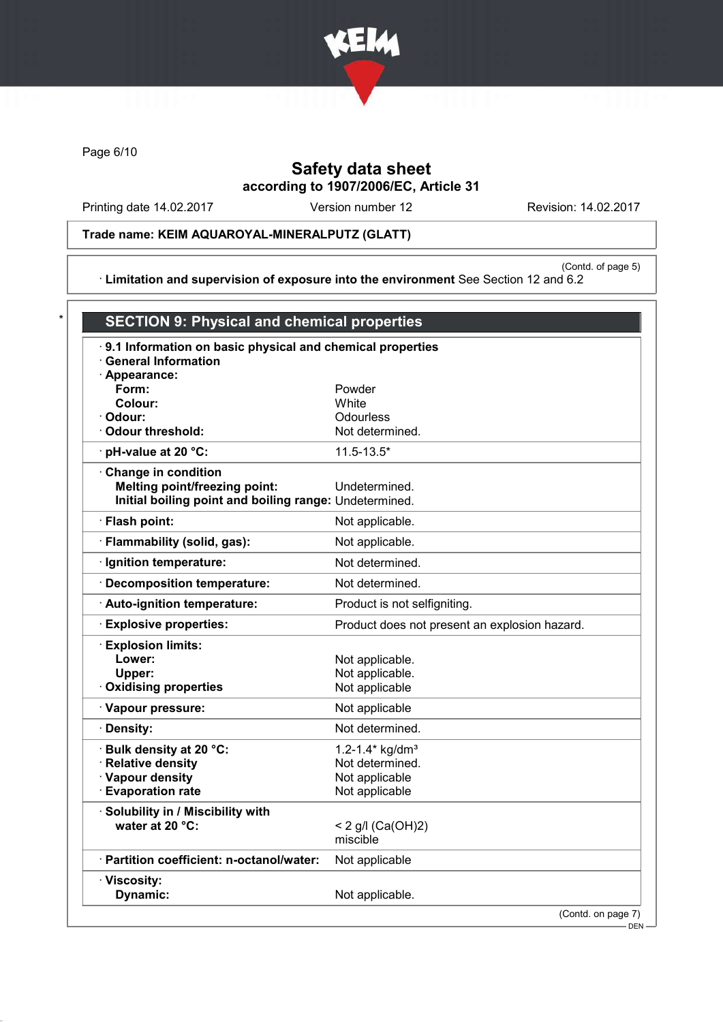

Page 6/10

# Safety data sheet according to 1907/2006/EC, Article 31

Printing date 14.02.2017 Version number 12 Revision: 14.02.2017

Trade name: KEIM AQUAROYAL-MINERALPUTZ (GLATT)

(Contd. of page 5) · Limitation and supervision of exposure into the environment See Section 12 and 6.2

| .9.1 Information on basic physical and chemical properties |                                               |
|------------------------------------------------------------|-----------------------------------------------|
| <b>General Information</b>                                 |                                               |
| · Appearance:                                              |                                               |
| Form:                                                      | Powder                                        |
| Colour:                                                    | White                                         |
| · Odour:                                                   | Odourless                                     |
| Odour threshold:                                           | Not determined.                               |
| $\cdot$ pH-value at 20 °C:                                 | $11.5 - 13.5*$                                |
| Change in condition                                        |                                               |
| <b>Melting point/freezing point:</b>                       | Undetermined.                                 |
| Initial boiling point and boiling range: Undetermined.     |                                               |
| · Flash point:                                             | Not applicable.                               |
| · Flammability (solid, gas):                               | Not applicable.                               |
| · Ignition temperature:                                    | Not determined.                               |
| · Decomposition temperature:                               | Not determined.                               |
| · Auto-ignition temperature:                               | Product is not selfigniting.                  |
| <b>Explosive properties:</b>                               | Product does not present an explosion hazard. |
| · Explosion limits:                                        |                                               |
| Lower:                                                     | Not applicable.                               |
| Upper:                                                     | Not applicable.                               |
| <b>Oxidising properties</b>                                | Not applicable                                |
| · Vapour pressure:                                         | Not applicable                                |
| · Density:                                                 | Not determined.                               |
| · Bulk density at 20 °C:                                   | 1.2-1.4* kg/dm <sup>3</sup>                   |
| · Relative density                                         | Not determined.                               |
| · Vapour density                                           | Not applicable                                |
| <b>Evaporation rate</b>                                    | Not applicable                                |
| · Solubility in / Miscibility with                         |                                               |
| water at 20 °C:                                            | < 2 g/l (Ca(OH)2)                             |
|                                                            | miscible                                      |
| · Partition coefficient: n-octanol/water:                  | Not applicable                                |
| · Viscosity:                                               |                                               |
| Dynamic:                                                   | Not applicable.                               |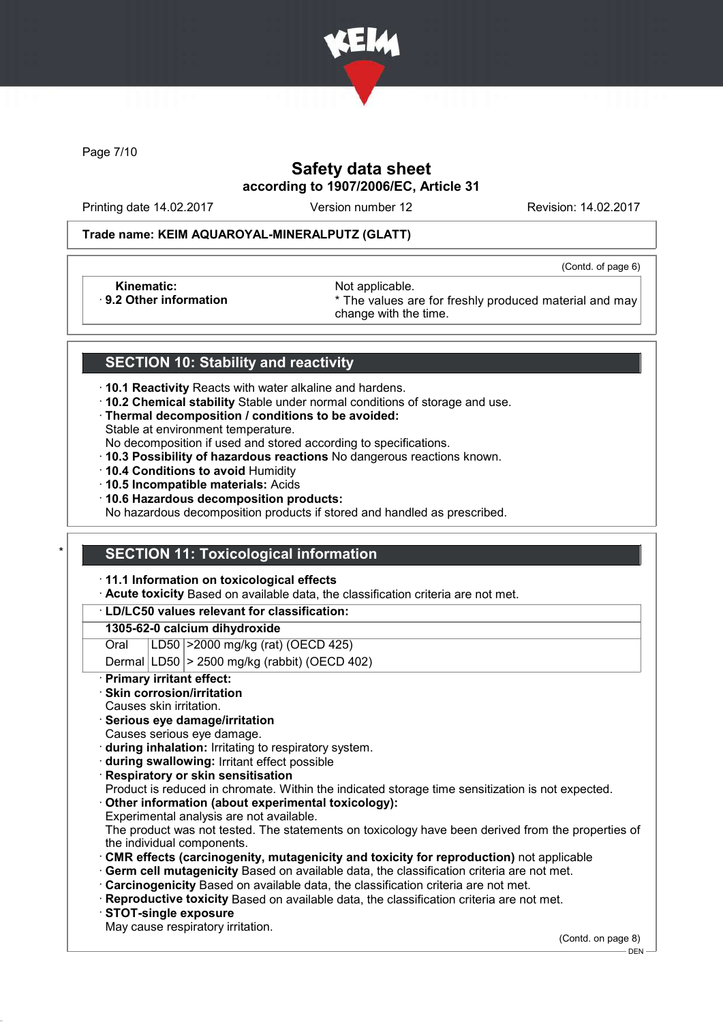

Page 7/10

# Safety data sheet according to 1907/2006/EC, Article 31

Printing date 14.02.2017 Version number 12 Revision: 14.02.2017

(Contd. of page 6)

### Trade name: KEIM AQUAROYAL-MINERALPUTZ (GLATT)

Kinematic: Not applicable.<br>
9.2 Other information **Accord 1989** The values are

\* The values are for freshly produced material and may change with the time.

## SECTION 10: Stability and reactivity

- · 10.1 Reactivity Reacts with water alkaline and hardens.
- · 10.2 Chemical stability Stable under normal conditions of storage and use.
- · Thermal decomposition / conditions to be avoided:
- Stable at environment temperature.

No decomposition if used and stored according to specifications.

- · 10.3 Possibility of hazardous reactions No dangerous reactions known.
- · 10.4 Conditions to avoid Humidity
- · 10.5 Incompatible materials: Acids
- · 10.6 Hazardous decomposition products:

No hazardous decomposition products if stored and handled as prescribed.

## **SECTION 11: Toxicological information**

· 11.1 Information on toxicological effects

· Acute toxicity Based on available data, the classification criteria are not met.

### · LD/LC50 values relevant for classification:

### 1305-62-0 calcium dihydroxide

Oral LD50 >2000 mg/kg (rat) (OECD 425)

Dermal  $|LD50|$  > 2500 mg/kg (rabbit) (OECD 402)

Primary irritant effect:

## Skin corrosion/irritation

- Causes skin irritation.
- · Serious eye damage/irritation
- Causes serious eye damage.
- · during inhalation: Irritating to respiratory system.
- · during swallowing: Irritant effect possible
- **Respiratory or skin sensitisation**
- Product is reduced in chromate. Within the indicated storage time sensitization is not expected.
- Other information (about experimental toxicology):
- Experimental analysis are not available.

The product was not tested. The statements on toxicology have been derived from the properties of the individual components.

- · CMR effects (carcinogenity, mutagenicity and toxicity for reproduction) not applicable
- Germ cell mutagenicity Based on available data, the classification criteria are not met.
- · Carcinogenicity Based on available data, the classification criteria are not met.
- · Reproductive toxicity Based on available data, the classification criteria are not met.
- · STOT-single exposure
- May cause respiratory irritation.

(Contd. on page 8)

DEN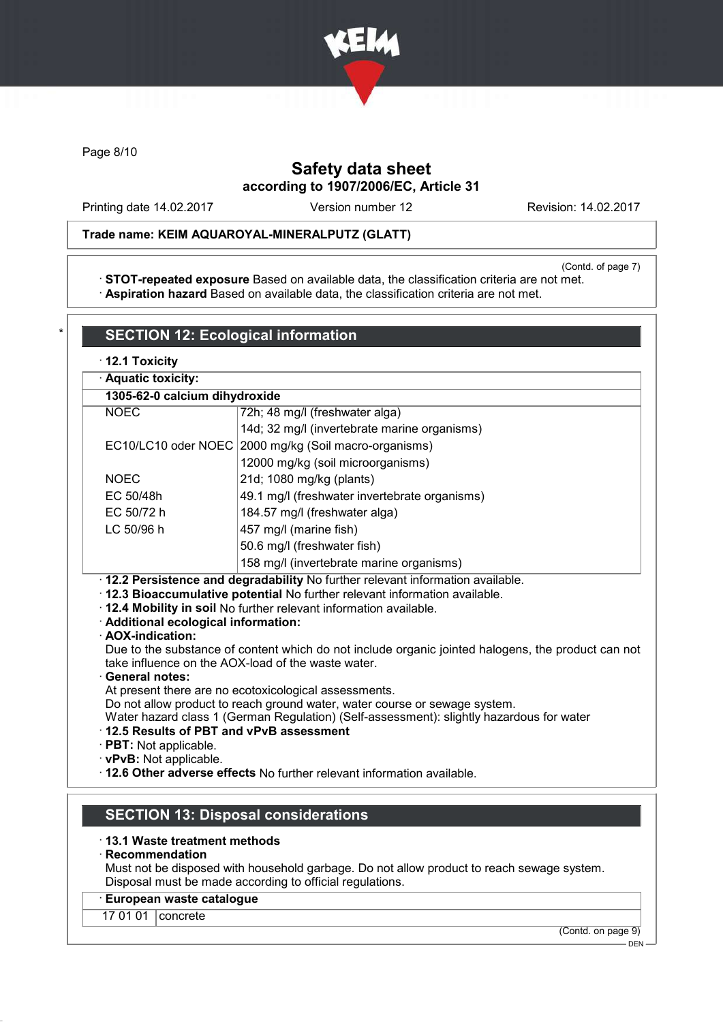

Page 8/10

# Safety data sheet according to 1907/2006/EC, Article 31

Printing date 14.02.2017 Version number 12 Revision: 14.02.2017

## Trade name: KEIM AQUAROYAL-MINERALPUTZ (GLATT)

(Contd. of page 7)

· STOT-repeated exposure Based on available data, the classification criteria are not met. · Aspiration hazard Based on available data, the classification criteria are not met.

| · Aquatic toxicity:<br>1305-62-0 calcium dihydroxide                                                                                          |                                                                                                                                                                                                                                                                                                                                                                                                                                                                                                                   |  |  |
|-----------------------------------------------------------------------------------------------------------------------------------------------|-------------------------------------------------------------------------------------------------------------------------------------------------------------------------------------------------------------------------------------------------------------------------------------------------------------------------------------------------------------------------------------------------------------------------------------------------------------------------------------------------------------------|--|--|
|                                                                                                                                               |                                                                                                                                                                                                                                                                                                                                                                                                                                                                                                                   |  |  |
| <b>NOEC</b>                                                                                                                                   | 72h; 48 mg/l (freshwater alga)                                                                                                                                                                                                                                                                                                                                                                                                                                                                                    |  |  |
|                                                                                                                                               | 14d; 32 mg/l (invertebrate marine organisms)                                                                                                                                                                                                                                                                                                                                                                                                                                                                      |  |  |
| EC10/LC10 oder NOEC                                                                                                                           | 2000 mg/kg (Soil macro-organisms)                                                                                                                                                                                                                                                                                                                                                                                                                                                                                 |  |  |
|                                                                                                                                               | 12000 mg/kg (soil microorganisms)                                                                                                                                                                                                                                                                                                                                                                                                                                                                                 |  |  |
| <b>NOEC</b>                                                                                                                                   | 21d; 1080 mg/kg (plants)                                                                                                                                                                                                                                                                                                                                                                                                                                                                                          |  |  |
| EC 50/48h                                                                                                                                     | 49.1 mg/l (freshwater invertebrate organisms)                                                                                                                                                                                                                                                                                                                                                                                                                                                                     |  |  |
| EC 50/72 h                                                                                                                                    | 184.57 mg/l (freshwater alga)                                                                                                                                                                                                                                                                                                                                                                                                                                                                                     |  |  |
| LC 50/96 h                                                                                                                                    | 457 mg/l (marine fish)                                                                                                                                                                                                                                                                                                                                                                                                                                                                                            |  |  |
|                                                                                                                                               |                                                                                                                                                                                                                                                                                                                                                                                                                                                                                                                   |  |  |
|                                                                                                                                               | 50.6 mg/l (freshwater fish)                                                                                                                                                                                                                                                                                                                                                                                                                                                                                       |  |  |
|                                                                                                                                               | 158 mg/l (invertebrate marine organisms)<br>· 12.2 Persistence and degradability No further relevant information available.<br>· 12.3 Bioaccumulative potential No further relevant information available.<br>. 12.4 Mobility in soil No further relevant information available.                                                                                                                                                                                                                                  |  |  |
| · Additional ecological information:<br>· AOX-indication:<br><b>General notes:</b><br>$\cdot$ PBT: Not applicable.<br>· vPvB: Not applicable. | Due to the substance of content which do not include organic jointed halogens, the product can not<br>take influence on the AOX-load of the waste water.<br>At present there are no ecotoxicological assessments.<br>Do not allow product to reach ground water, water course or sewage system.<br>Water hazard class 1 (German Regulation) (Self-assessment): slightly hazardous for water<br>12.5 Results of PBT and vPvB assessment<br>· 12.6 Other adverse effects No further relevant information available. |  |  |

#### **Recommendation**

Must not be disposed with household garbage. Do not allow product to reach sewage system. Disposal must be made according to official regulations.

# · European waste catalogue

17 01 01 **concrete** 

(Contd. on page 9)

DEN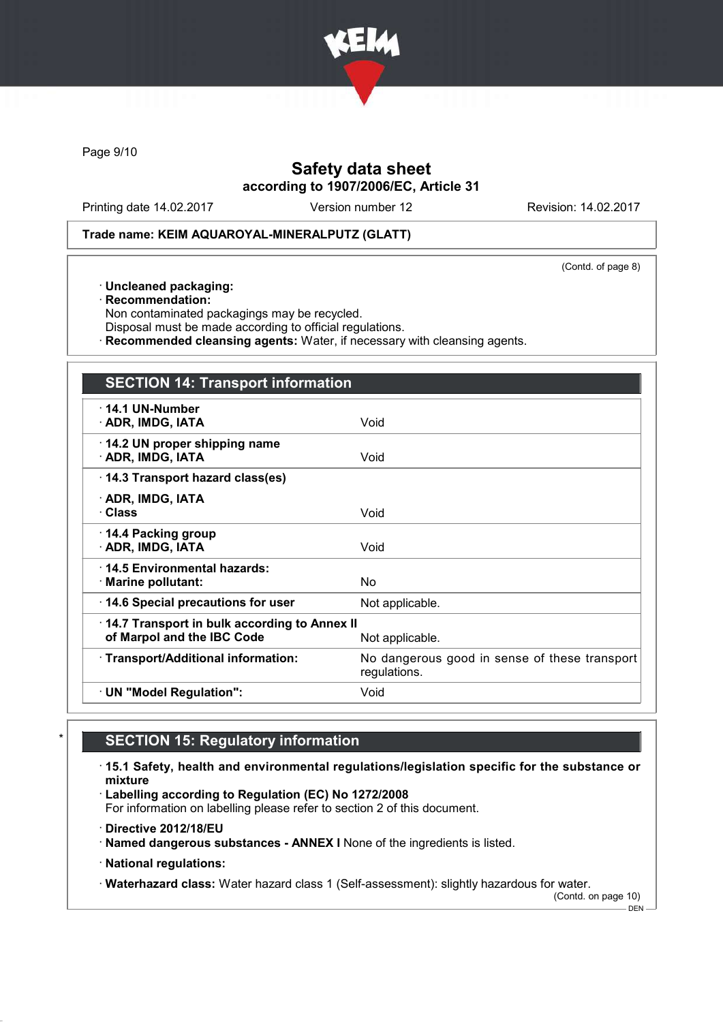

Page 9/10

# Safety data sheet according to 1907/2006/EC, Article 31

Printing date 14.02.2017 Version number 12 Revision: 14.02.2017

### Trade name: KEIM AQUAROYAL-MINERALPUTZ (GLATT)

(Contd. of page 8)

- · Uncleaned packaging:
- · Recommendation:
- Non contaminated packagings may be recycled.
- Disposal must be made according to official regulations.
- · Recommended cleansing agents: Water, if necessary with cleansing agents.

| <b>SECTION 14: Transport information</b>                                   |                                                               |
|----------------------------------------------------------------------------|---------------------------------------------------------------|
| $\cdot$ 14.1 UN-Number<br>· ADR, IMDG, IATA                                | Void                                                          |
| 14.2 UN proper shipping name<br>· ADR, IMDG, IATA                          | Void                                                          |
| 14.3 Transport hazard class(es)                                            |                                                               |
| · ADR, IMDG, IATA<br><b>· Class</b>                                        | Void                                                          |
| $\cdot$ 14.4 Packing group<br>· ADR, IMDG, IATA                            | Void                                                          |
| ⋅14.5 Environmental hazards:<br>$\cdot$ Marine pollutant:                  | No.                                                           |
| 14.6 Special precautions for user                                          | Not applicable.                                               |
| 14.7 Transport in bulk according to Annex II<br>of Marpol and the IBC Code | Not applicable.                                               |
| · Transport/Additional information:                                        | No dangerous good in sense of these transport<br>regulations. |
| · UN "Model Regulation":                                                   | Void                                                          |

# **SECTION 15: Regulatory information**

- · 15.1 Safety, health and environmental regulations/legislation specific for the substance or mixture
- · Labelling according to Regulation (EC) No 1272/2008

For information on labelling please refer to section 2 of this document.

- · Directive 2012/18/EU
- · Named dangerous substances ANNEX I None of the ingredients is listed.
- · National regulations:

· Waterhazard class: Water hazard class 1 (Self-assessment): slightly hazardous for water.

(Contd. on page 10)  $-$  DEN